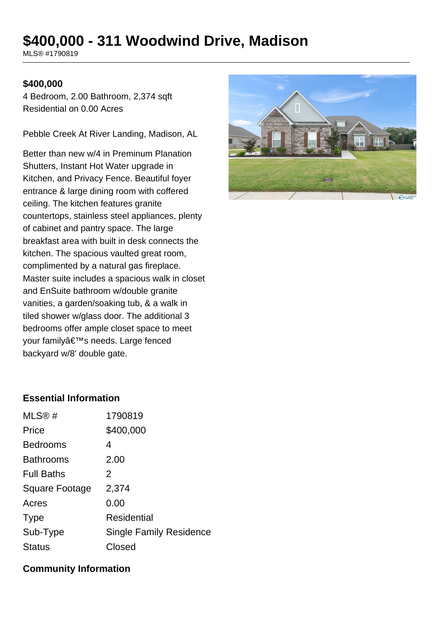# **\$400,000 - 311 Woodwind Drive, Madison**

MLS® #1790819

#### **\$400,000**

4 Bedroom, 2.00 Bathroom, 2,374 sqft Residential on 0.00 Acres

Pebble Creek At River Landing, Madison, AL

Better than new w/4 in Preminum Planation Shutters, Instant Hot Water upgrade in Kitchen, and Privacy Fence. Beautiful foyer entrance & large dining room with coffered ceiling. The kitchen features granite countertops, stainless steel appliances, plenty of cabinet and pantry space. The large breakfast area with built in desk connects the kitchen. The spacious vaulted great room, complimented by a natural gas fireplace. Master suite includes a spacious walk in closet and EnSuite bathroom w/double granite vanities, a garden/soaking tub, & a walk in tiled shower w/glass door. The additional 3 bedrooms offer ample closet space to meet your family's needs. Large fenced backyard w/8' double gate.



### **Essential Information**

| MLS@#                 | 1790819                        |
|-----------------------|--------------------------------|
| Price                 | \$400,000                      |
| <b>Bedrooms</b>       | 4                              |
| <b>Bathrooms</b>      | 2.00                           |
| <b>Full Baths</b>     | 2                              |
| <b>Square Footage</b> | 2,374                          |
| Acres                 | 0.00                           |
| <b>Type</b>           | Residential                    |
| Sub-Type              | <b>Single Family Residence</b> |
| <b>Status</b>         | Closed                         |

#### **Community Information**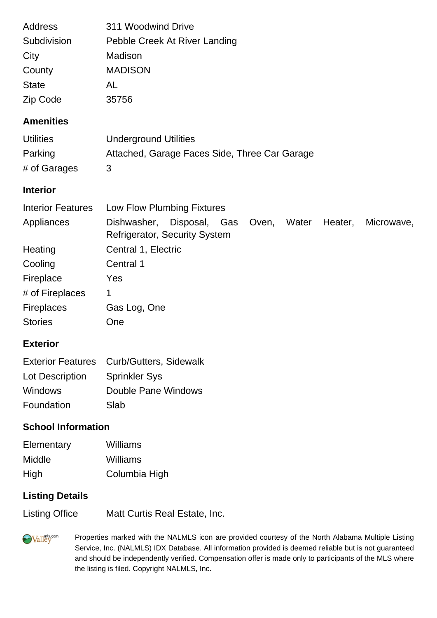| <b>Address</b>           | 311 Woodwind Drive                                                         |
|--------------------------|----------------------------------------------------------------------------|
| Subdivision              | Pebble Creek At River Landing                                              |
| City                     | Madison                                                                    |
| County                   | <b>MADISON</b>                                                             |
| <b>State</b>             | AL                                                                         |
| Zip Code                 | 35756                                                                      |
| <b>Amenities</b>         |                                                                            |
| <b>Utilities</b>         | <b>Underground Utilities</b>                                               |
| Parking                  | Attached, Garage Faces Side, Three Car Garage                              |
| # of Garages             | 3                                                                          |
| <b>Interior</b>          |                                                                            |
| <b>Interior Features</b> | Low Flow Plumbing Fixtures                                                 |
| Appliances               | Disposal,<br>Water<br>Heater,<br>Dishwasher,<br>Gas<br>Microwave,<br>Oven, |

|                   | <b>Refrigerator, Security System</b> |
|-------------------|--------------------------------------|
| Heating           | Central 1, Electric                  |
| Cooling           | Central 1                            |
| Fireplace         | Yes                                  |
| # of Fireplaces   | 1                                    |
| <b>Fireplaces</b> | Gas Log, One                         |
| <b>Stories</b>    | One                                  |

## **Exterior**

|                 | Exterior Features Curb/Gutters, Sidewalk |
|-----------------|------------------------------------------|
| Lot Description | <b>Sprinkler Sys</b>                     |
| <b>Windows</b>  | Double Pane Windows                      |
| Foundation      | Slab                                     |

## **School Information**

| Elementary | Williams      |
|------------|---------------|
| Middle     | Williams      |
| High       | Columbia High |

# **Listing Details**

Listing Office Matt Curtis Real Estate, Inc.

**Walley** Properties marked with the NALMLS icon are provided courtesy of the North Alabama Multiple Listing Service, Inc. (NALMLS) IDX Database. All information provided is deemed reliable but is not guaranteed and should be independently verified. Compensation offer is made only to participants of the MLS where the listing is filed. Copyright NALMLS, Inc.